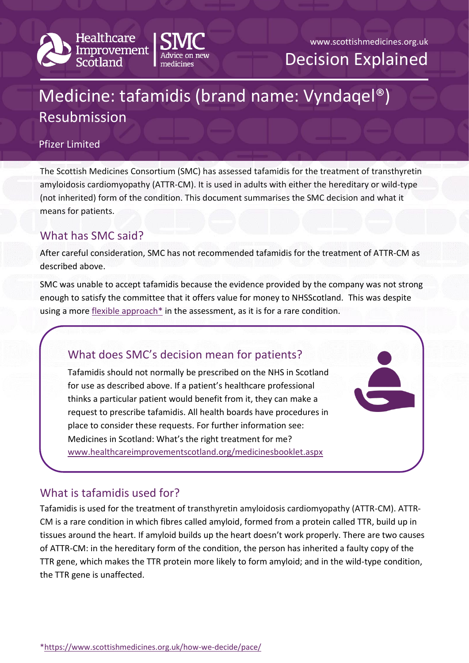



# Medicine: tafamidis (brand name: Vyndaqel®) Resubmission

#### Pfizer Limited

The Scottish Medicines Consortium (SMC) has assessed tafamidis for the treatment of transthyretin amyloidosis cardiomyopathy (ATTR-CM). It is used in adults with either the hereditary or wild-type (not inherited) form of the condition. This document summarises the SMC decision and what it means for patients.

## What has SMC said?

After careful consideration, SMC has not recommended tafamidis for the treatment of ATTR-CM as described above.

SMC was unable to accept tafamidis because the evidence provided by the company was not strong enough to satisfy the committee that it offers value for money to NHSScotland. This was despite using a more flexible approach $*$  in the assessment, as it is for a rare condition.

# What does SMC's decision mean for patients?

Tafamidis should not normally be prescribed on the NHS in Scotland for use as described above. If a patient's healthcare professional thinks a particular patient would benefit from it, they can make a request to prescribe tafamidis. All health boards have procedures in place to consider these requests. For further information see: Medicines in Scotland: What's the right treatment for me? [www.healthcareimprovementscotland.org/medicinesbooklet.aspx](http://www.healthcareimprovementscotland.org/our_work/technologies_and_medicines/adtc_resources/medicines_booklet.aspx)

# What is tafamidis used for?

Tafamidis is used for the treatment of transthyretin amyloidosis cardiomyopathy (ATTR-CM). ATTR-CM is a rare condition in which fibres called amyloid, formed from a protein called TTR, build up in tissues around the heart. If amyloid builds up the heart doesn't work properly. There are two causes of ATTR-CM: in the hereditary form of the condition, the person has inherited a faulty copy of the TTR gene, which makes the TTR protein more likely to form amyloid; and in the wild-type condition, the TTR gene is unaffected.